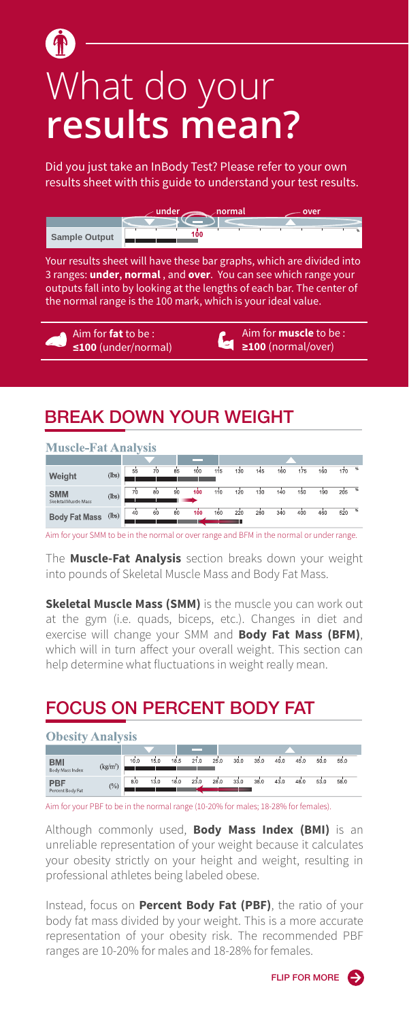# What do your **results mean?**

Did you just take an InBody Test? Please refer to your own results sheet with this guide to understand your test results.

|                      | $\nu$ under | ∠normal |  | oven |  |    |
|----------------------|-------------|---------|--|------|--|----|
|                      |             |         |  |      |  |    |
| <b>Sample Output</b> | 100         |         |  |      |  | 96 |

Your results sheet will have these bar graphs, which are divided into 3 ranges: **under, normal** , and **over**. You can see which range your outputs fall into by looking at the lengths of each bar. The center of the normal range is the 100 mark, which is your ideal value.

Aim for **fat** to be : **≤100** (under/normal) Aim for **muscle** to be : **≥100** (normal/over)

#### BREAK DOWN YOUR WEIGHT

| <b>Muscle-Fat Analysis</b>         |                |    |    |              |     |     |     |     |     |     |     |     |               |
|------------------------------------|----------------|----|----|--------------|-----|-----|-----|-----|-----|-----|-----|-----|---------------|
|                                    |                |    |    |              | --  |     |     |     |     |     |     |     |               |
| Weight                             | (lbs)          | 55 | 70 | 85           | 100 | 115 | 130 | 145 | 160 | 175 | 160 | 170 | $\frac{1}{2}$ |
| <b>SMM</b><br>Skeletal Muscle Mass | (lbs)          | 70 | 80 | $90^{\circ}$ | 100 | 110 | 120 | 130 | 140 | 150 | 190 | 205 | $\frac{1}{2}$ |
| <b>Body Fat Mass</b>               | $(\text{lbs})$ | 40 | 60 | 80           | 100 | 160 | 220 | 280 | 340 | 400 | 460 | 520 | %             |

Aim for your SMM to be in the normal or over range and BFM in the normal or under range.

The **Muscle-Fat Analysis** section breaks down your weight into pounds of Skeletal Muscle Mass and Body Fat Mass.

**Skeletal Muscle Mass (SMM)** is the muscle you can work out at the gym (i.e. quads, biceps, etc.). Changes in diet and exercise will change your SMM and **Body Fat Mass (BFM)**, which will in turn affect your overall weight. This section can help determine what fluctuations in weight really mean.

#### FOCUS ON PERCENT BODY FAT

| <b>ODesity</b><br><b>Analysis</b> |                      |      |      |      |      |      |      |      |      |      |      |      |  |
|-----------------------------------|----------------------|------|------|------|------|------|------|------|------|------|------|------|--|
|                                   |                      |      |      |      | --   |      |      |      |      |      |      |      |  |
| <b>BMI</b><br>Body Mass Index     | (kg/m <sup>2</sup> ) | 10.0 | 15.0 | 18.5 | 210  | 25.0 | 30.0 | 35.0 | 40.0 | 45.0 | 50.0 | 55.0 |  |
| <b>PBF</b><br>Percent Body Fat    | $(\%)$               | 8.0  | 13.0 | 18.0 | 23.0 | 28.0 | 33.0 | 38.0 | 43.0 | 48.0 | 53.0 | 58.0 |  |

Aim for your PBF to be in the normal range (10-20% for males; 18-28% for females).

Although commonly used, **Body Mass Index (BMI)** is an unreliable representation of your weight because it calculates your obesity strictly on your height and weight, resulting in professional athletes being labeled obese.

Instead, focus on **Percent Body Fat (PBF)**, the ratio of your body fat mass divided by your weight. This is a more accurate representation of your obesity risk. The recommended PBF ranges are 10-20% for males and 18-28% for females.